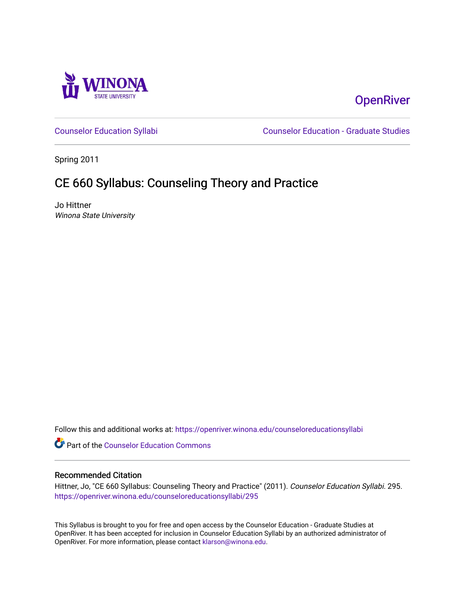

# **OpenRiver**

[Counselor Education Syllabi](https://openriver.winona.edu/counseloreducationsyllabi) [Counselor Education - Graduate Studies](https://openriver.winona.edu/counseloreducation) 

Spring 2011

# CE 660 Syllabus: Counseling Theory and Practice

Jo Hittner Winona State University

Follow this and additional works at: [https://openriver.winona.edu/counseloreducationsyllabi](https://openriver.winona.edu/counseloreducationsyllabi?utm_source=openriver.winona.edu%2Fcounseloreducationsyllabi%2F295&utm_medium=PDF&utm_campaign=PDFCoverPages)

Part of the [Counselor Education Commons](http://network.bepress.com/hgg/discipline/1278?utm_source=openriver.winona.edu%2Fcounseloreducationsyllabi%2F295&utm_medium=PDF&utm_campaign=PDFCoverPages) 

## Recommended Citation

Hittner, Jo, "CE 660 Syllabus: Counseling Theory and Practice" (2011). Counselor Education Syllabi. 295. [https://openriver.winona.edu/counseloreducationsyllabi/295](https://openriver.winona.edu/counseloreducationsyllabi/295?utm_source=openriver.winona.edu%2Fcounseloreducationsyllabi%2F295&utm_medium=PDF&utm_campaign=PDFCoverPages)

This Syllabus is brought to you for free and open access by the Counselor Education - Graduate Studies at OpenRiver. It has been accepted for inclusion in Counselor Education Syllabi by an authorized administrator of OpenRiver. For more information, please contact [klarson@winona.edu](mailto:klarson@winona.edu).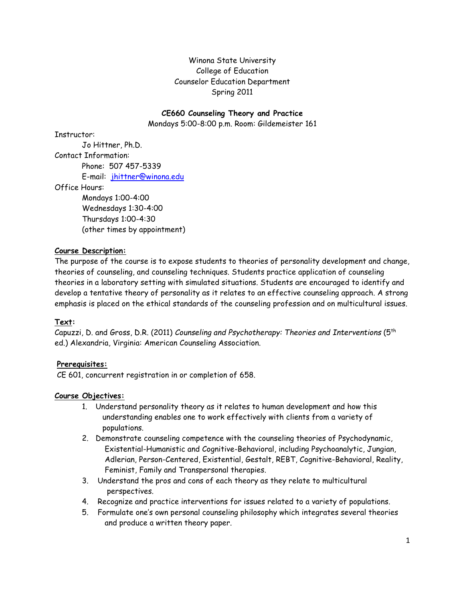# Winona State University College of Education Counselor Education Department Spring 2011

# **CE660 Counseling Theory and Practice**

Mondays 5:00-8:00 p.m. Room: Gildemeister 161

Instructor:

Jo Hittner, Ph.D. Contact Information: Phone: 507 457-5339 E-mail: [jhittner@winona.edu](mailto:jhittner@winona.edu)

Office Hours:

Mondays 1:00-4:00 Wednesdays 1:30-4:00 Thursdays 1:00-4:30 (other times by appointment)

# **Course Description:**

The purpose of the course is to expose students to theories of personality development and change, theories of counseling, and counseling techniques. Students practice application of counseling theories in a laboratory setting with simulated situations. Students are encouraged to identify and develop a tentative theory of personality as it relates to an effective counseling approach. A strong emphasis is placed on the ethical standards of the counseling profession and on multicultural issues.

# **Text:**

Capuzzi, D. and Gross, D.R. (2011) *Counseling and Psychotherapy: Theories and Interventions* (5th ed.) Alexandria, Virginia: American Counseling Association.

# **Prerequisites:**

CE 601, concurrent registration in or completion of 658.

#### **Course Objectives:**

- 1. Understand personality theory as it relates to human development and how this understanding enables one to work effectively with clients from a variety of populations.
- 2. Demonstrate counseling competence with the counseling theories of Psychodynamic, Existential-Humanistic and Cognitive-Behavioral, including Psychoanalytic, Jungian, Adlerian, Person-Centered, Existential, Gestalt, REBT, Cognitive-Behavioral, Reality, Feminist, Family and Transpersonal therapies.
- 3. Understand the pros and cons of each theory as they relate to multicultural perspectives.
- 4. Recognize and practice interventions for issues related to a variety of populations.
- 5. Formulate one's own personal counseling philosophy which integrates several theories and produce a written theory paper.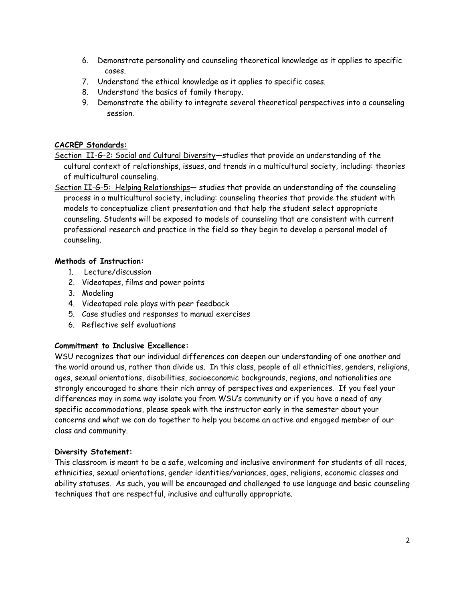- 6. Demonstrate personality and counseling theoretical knowledge as it applies to specific cases.
- 7. Understand the ethical knowledge as it applies to specific cases.
- 8. Understand the basics of family therapy.
- 9. Demonstrate the ability to integrate several theoretical perspectives into a counseling session.

# **CACREP Standards:**

- Section II-G-2: Social and Cultural Diversity—studies that provide an understanding of the cultural context of relationships, issues, and trends in a multicultural society, including: theories of multicultural counseling.
- Section II-G-5: Helping Relationships- studies that provide an understanding of the counseling process in a multicultural society, including: counseling theories that provide the student with models to conceptualize client presentation and that help the student select appropriate counseling. Students will be exposed to models of counseling that are consistent with current professional research and practice in the field so they begin to develop a personal model of counseling.

## **Methods of Instruction:**

- 1. Lecture/discussion
- 2. Videotapes, films and power points
- 3. Modeling
- 4. Videotaped role plays with peer feedback
- 5. Case studies and responses to manual exercises
- 6. Reflective self evaluations

#### **Commitment to Inclusive Excellence:**

WSU recognizes that our individual differences can deepen our understanding of one another and the world around us, rather than divide us. In this class, people of all ethnicities, genders, religions, ages, sexual orientations, disabilities, socioeconomic backgrounds, regions, and nationalities are strongly encouraged to share their rich array of perspectives and experiences. If you feel your differences may in some way isolate you from WSU's community or if you have a need of any specific accommodations, please speak with the instructor early in the semester about your concerns and what we can do together to help you become an active and engaged member of our class and community.

#### **Diversity Statement:**

This classroom is meant to be a safe, welcoming and inclusive environment for students of all races, ethnicities, sexual orientations, gender identities/variances, ages, religions, economic classes and ability statuses. As such, you will be encouraged and challenged to use language and basic counseling techniques that are respectful, inclusive and culturally appropriate.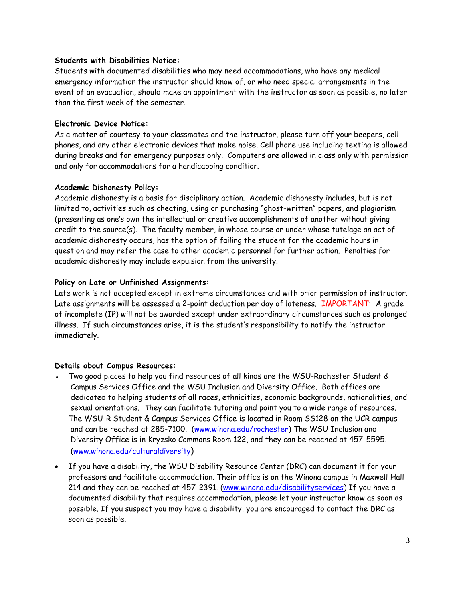## **Students with Disabilities Notice:**

Students with documented disabilities who may need accommodations, who have any medical emergency information the instructor should know of, or who need special arrangements in the event of an evacuation, should make an appointment with the instructor as soon as possible, no later than the first week of the semester.

# **Electronic Device Notice:**

As a matter of courtesy to your classmates and the instructor, please turn off your beepers, cell phones, and any other electronic devices that make noise. Cell phone use including texting is allowed during breaks and for emergency purposes only. Computers are allowed in class only with permission and only for accommodations for a handicapping condition.

## **Academic Dishonesty Policy:**

Academic dishonesty is a basis for disciplinary action. Academic dishonesty includes, but is not limited to, activities such as cheating, using or purchasing "ghost-written" papers, and plagiarism (presenting as one's own the intellectual or creative accomplishments of another without giving credit to the source(s). The faculty member, in whose course or under whose tutelage an act of academic dishonesty occurs, has the option of failing the student for the academic hours in question and may refer the case to other academic personnel for further action. Penalties for academic dishonesty may include expulsion from the university.

## **Policy on Late or Unfinished Assignments:**

Late work is not accepted except in extreme circumstances and with prior permission of instructor. Late assignments will be assessed a 2-point deduction per day of lateness. IMPORTANT: A grade of incomplete (IP) will not be awarded except under extraordinary circumstances such as prolonged illness. If such circumstances arise, it is the student's responsibility to notify the instructor immediately.

#### **Details about Campus Resources:**

- Two good places to help you find resources of all kinds are the WSU-Rochester Student & Campus Services Office and the WSU Inclusion and Diversity Office. Both offices are dedicated to helping students of all races, ethnicities, economic backgrounds, nationalities, and sexual orientations. They can facilitate tutoring and point you to a wide range of resources. The WSU-R Student & Campus Services Office is located in Room SS128 on the UCR campus and can be reached at 285-7100. [\(www.winona.edu/rochester\)](http://www.winona.edu/rochester) The WSU Inclusion and Diversity Office is in Kryzsko Commons Room 122, and they can be reached at 457-5595. [\(www.winona.edu/culturaldiversity\)](http://www.winona.edu/culturaldiversity)
- If you have a disability, the WSU Disability Resource Center (DRC) can document it for your professors and facilitate accommodation. Their office is on the Winona campus in Maxwell Hall 214 and they can be reached at 457-2391. [\(www.winona.edu/disabilityservices\)](http://www.winona.edu/disabilityservices) If you have a documented disability that requires accommodation, please let your instructor know as soon as possible. If you suspect you may have a disability, you are encouraged to contact the DRC as soon as possible.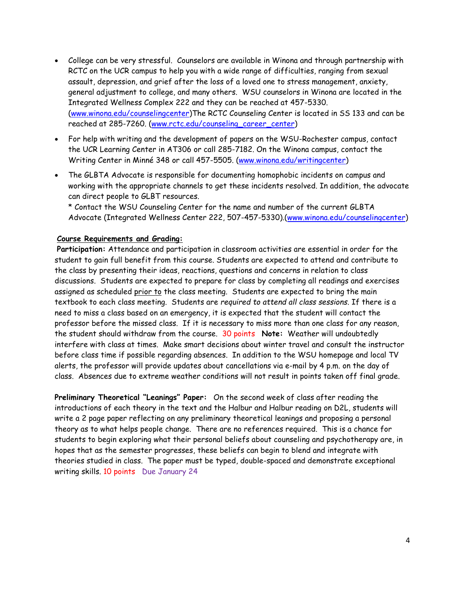- College can be very stressful. Counselors are available in Winona and through partnership with RCTC on the UCR campus to help you with a wide range of difficulties, ranging from sexual assault, depression, and grief after the loss of a loved one to stress management, anxiety, general adjustment to college, and many others. WSU counselors in Winona are located in the Integrated Wellness Complex 222 and they can be reached at 457-5330. [\(www.winona.edu/counselingcenter\)](http://www.winona.edu/counselingcenter)The RCTC Counseling Center is located in SS 133 and can be reached at 285-7260. [\(www.rctc.edu/counseling\\_career\\_center\)](http://www.rctc.edu/counseling_career_center)
- For help with writing and the development of papers on the WSU-Rochester campus, contact the UCR Learning Center in AT306 or call 285-7182. On the Winona campus, contact the Writing Center in Minné 348 or call 457-5505. [\(www.winona.edu/writingcenter\)](http://www.winona.edu/writingcenter)
- The GLBTA Advocate is responsible for documenting homophobic incidents on campus and working with the appropriate channels to get these incidents resolved. In addition, the advocate can direct people to GLBT resources.

\* Contact the WSU Counseling Center for the name and number of the current GLBTA Advocate (Integrated Wellness Center 222, 507-457-5330).[\(www.winona.edu/counselingcenter\)](http://www.winona.edu/counselingcenter)

#### **Course Requirements and Grading:**

**Participation:** Attendance and participation in classroom activities are essential in order for the student to gain full benefit from this course. Students are expected to attend and contribute to the class by presenting their ideas, reactions, questions and concerns in relation to class discussions. Students are expected to prepare for class by completing all readings and exercises assigned as scheduled prior to the class meeting. Students are expected to bring the main textbook to each class meeting. Students are *required to attend all class sessions.* If there is a need to miss a class based on an emergency, it is expected that the student will contact the professor before the missed class. If it is necessary to miss more than one class for any reason, the student should withdraw from the course. 30 points **Note:** Weather will undoubtedly interfere with class at times. Make smart decisions about winter travel and consult the instructor before class time if possible regarding absences. In addition to the WSU homepage and local TV alerts, the professor will provide updates about cancellations via e-mail by 4 p.m. on the day of class. Absences due to extreme weather conditions will not result in points taken off final grade.

**Preliminary Theoretical "Leanings" Paper:** On the second week of class after reading the introductions of each theory in the text and the Halbur and Halbur reading on D2L, students will write a 2 page paper reflecting on any preliminary theoretical leanings and proposing a personal theory as to what helps people change. There are no references required. This is a chance for students to begin exploring what their personal beliefs about counseling and psychotherapy are, in hopes that as the semester progresses, these beliefs can begin to blend and integrate with theories studied in class. The paper must be typed, double-spaced and demonstrate exceptional writing skills. 10 points Due January 24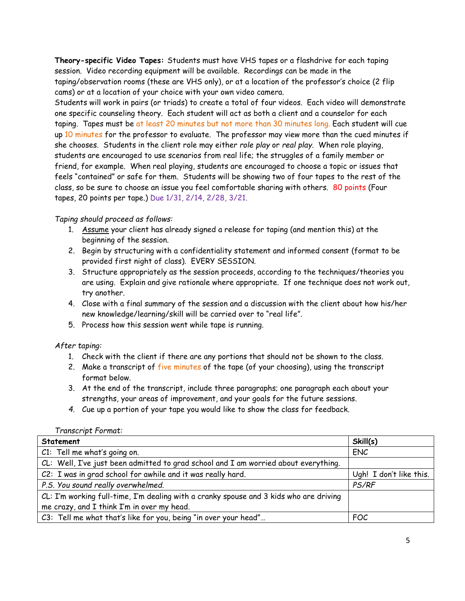**Theory-specific Video Tapes:** Students must have VHS tapes or a flashdrive for each taping session. Video recording equipment will be available. Recordings can be made in the taping/observation rooms (these are VHS only), or at a location of the professor's choice (2 flip cams) or at a location of your choice with your own video camera.

Students will work in pairs (or triads) to create a total of four videos. Each video will demonstrate one specific counseling theory. Each student will act as both a client and a counselor for each taping. Tapes must be at least 20 minutes but not more than 30 minutes long. Each student will cue up 10 minutes for the professor to evaluate. The professor may view more than the cued minutes if she chooses. Students in the client role may either *role play* or *real play*. When role playing, students are encouraged to use scenarios from real life; the struggles of a family member or friend, for example. When real playing, students are encouraged to choose a topic or issues that feels "contained" or safe for them. Students will be showing two of four tapes to the rest of the class, so be sure to choose an issue you feel comfortable sharing with others. 80 points (Four tapes, 20 points per tape.) Due 1/31, 2/14, 2/28, 3/21.

## *Taping should proceed as follows:*

- 1. Assume your client has already signed a release for taping (and mention this) at the beginning of the session.
- 2. Begin by structuring with a confidentiality statement and informed consent (format to be provided first night of class). EVERY SESSION.
- 3. Structure appropriately as the session proceeds, according to the techniques/theories you are using. Explain and give rationale where appropriate. If one technique does not work out, try another.
- 4. Close with a final summary of the session and a discussion with the client about how his/her new knowledge/learning/skill will be carried over to "real life".
- 5. Process how this session went while tape is running.

*After taping:*

- 1. Check with the client if there are any portions that should not be shown to the class.
- 2. Make a transcript of five minutes of the tape (of your choosing), using the transcript format below.
- 3. At the end of the transcript, include three paragraphs; one paragraph each about your strengths, your areas of improvement, and your goals for the future sessions.
- *4.* Cue up a portion of your tape you would like to show the class for feedback.

| Statement                                                                              | Skill(s)                |
|----------------------------------------------------------------------------------------|-------------------------|
| C1: Tell me what's going on.                                                           | <b>ENC</b>              |
| CL: Well, I've just been admitted to grad school and I am worried about everything.    |                         |
| C2: I was in grad school for awhile and it was really hard.                            | Ugh! I don't like this. |
| P.S. You sound really overwhelmed.                                                     | PS/RF                   |
| CL: I'm working full-time, I'm dealing with a cranky spouse and 3 kids who are driving |                         |
| me crazy, and I think I'm in over my head.                                             |                         |
| C3: Tell me what that's like for you, being "in over your head"                        | FOC                     |

*Transcript Format:*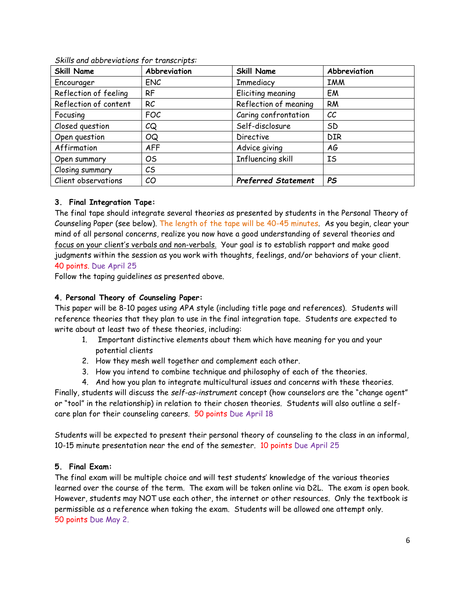| <b>Skill Name</b>     | Abbreviation   | <b>Skill Name</b>          | Abbreviation |
|-----------------------|----------------|----------------------------|--------------|
| Encourager            | <b>ENC</b>     | Immediacy                  | <b>IMM</b>   |
| Reflection of feeling | <b>RF</b>      | Eliciting meaning          | EM           |
| Reflection of content | <b>RC</b>      | Reflection of meaning      | <b>RM</b>    |
| Focusing              | <b>FOC</b>     | Caring confrontation       | СC           |
| Closed question       | CQ             | Self-disclosure            | SD           |
| Open question         | OQ             | <b>Directive</b>           | <b>DIR</b>   |
| Affirmation           | <b>AFF</b>     | Advice giving              | AG           |
| Open summary          | O <sub>S</sub> | Influencing skill          | IS           |
| Closing summary       | $\mathcal{C}$  |                            |              |
| Client observations   | CO             | <b>Preferred Statement</b> | <b>PS</b>    |

*Skills and abbreviations for transcripts:*

# **3. Final Integration Tape:**

The final tape should integrate several theories as presented by students in the Personal Theory of Counseling Paper (see below). The length of the tape will be 40-45 minutes. As you begin, clear your mind of all personal concerns, realize you now have a good understanding of several theories and focus on your client's verbals and non-verbals. Your goal is to establish rapport and make good judgments within the session as you work with thoughts, feelings, and/or behaviors of your client. 40 points. Due April 25

Follow the taping guidelines as presented above.

#### **4. Personal Theory of Counseling Paper:**

This paper will be 8-10 pages using APA style (including title page and references). Students will reference theories that they plan to use in the final integration tape. Students are expected to write about at least two of these theories, including:

- 1. Important distinctive elements about them which have meaning for you and your potential clients
- 2. How they mesh well together and complement each other.
- 3. How you intend to combine technique and philosophy of each of the theories.
- 4. And how you plan to integrate multicultural issues and concerns with these theories.

Finally, students will discuss the *self-as-instrument* concept (how counselors are the "change agent" or "tool" in the relationship) in relation to their chosen theories. Students will also outline a selfcare plan for their counseling careers. 50 points Due April 18

Students will be expected to present their personal theory of counseling to the class in an informal, 10-15 minute presentation near the end of the semester. 10 points Due April 25

#### **5. Final Exam:**

The final exam will be multiple choice and will test students' knowledge of the various theories learned over the course of the term. The exam will be taken online via D2L. The exam is open book. However, students may NOT use each other, the internet or other resources. Only the textbook is permissible as a reference when taking the exam. Students will be allowed one attempt only. 50 points Due May 2.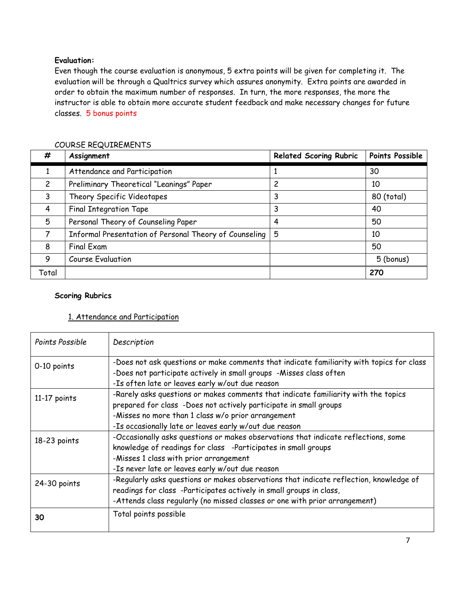# **Evaluation:**

Even though the course evaluation is anonymous, 5 extra points will be given for completing it. The evaluation will be through a Qualtrics survey which assures anonymity. Extra points are awarded in order to obtain the maximum number of responses. In turn, the more responses, the more the instructor is able to obtain more accurate student feedback and make necessary changes for future classes. 5 bonus points

| #              | Assignment                                             | <b>Related Scoring Rubric</b> | Points Possible |
|----------------|--------------------------------------------------------|-------------------------------|-----------------|
|                | Attendance and Participation                           |                               | 30              |
| $\overline{c}$ | Preliminary Theoretical "Leanings" Paper               | 2                             | 10              |
| 3              | Theory Specific Videotapes                             | 3                             | 80 (total)      |
| 4              | <b>Final Integration Tape</b>                          | 3                             | 40              |
| 5              | Personal Theory of Counseling Paper                    | 4                             | 50              |
| 7              | Informal Presentation of Personal Theory of Counseling | 5                             | 10              |
| 8              | <b>Final Exam</b>                                      |                               | 50              |
| 9              | Course Evaluation                                      |                               | 5 (bonus)       |
| Total          |                                                        |                               | 270             |

# COURSE REQUIREMENTS

#### **Scoring Rubrics**

#### 1. Attendance and Participation

| Points Possible | Description                                                                                                                                                                                                                                                             |  |
|-----------------|-------------------------------------------------------------------------------------------------------------------------------------------------------------------------------------------------------------------------------------------------------------------------|--|
| 0-10 points     | -Does not ask questions or make comments that indicate familiarity with topics for class<br>-Does not participate actively in small groups -Misses class often<br>-Is often late or leaves early w/out due reason                                                       |  |
| 11-17 points    | -Rarely asks questions or makes comments that indicate familiarity with the topics<br>prepared for class -Does not actively participate in small groups<br>-Misses no more than 1 class w/o prior arrangement<br>-Is occasionally late or leaves early w/out due reason |  |
| 18-23 points    | -Occasionally asks questions or makes observations that indicate reflections, some<br>knowledge of readings for class -Participates in small groups<br>-Misses 1 class with prior arrangement<br>-Is never late or leaves early w/out due reason                        |  |
| 24-30 points    | -Regularly asks questions or makes observations that indicate reflection, knowledge of<br>readings for class -Participates actively in small groups in class,<br>-Attends class regularly (no missed classes or one with prior arrangement)                             |  |
| 30              | Total points possible                                                                                                                                                                                                                                                   |  |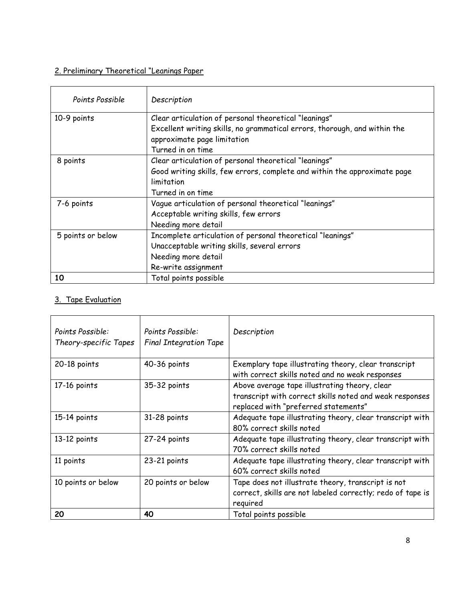# 2. Preliminary Theoretical "Leanings Paper

| Points Possible   | Description                                                                                                                        |
|-------------------|------------------------------------------------------------------------------------------------------------------------------------|
| 10-9 points       | Clear articulation of personal theoretical "leanings"<br>Excellent writing skills, no grammatical errors, thorough, and within the |
|                   | approximate page limitation<br>Turned in on time                                                                                   |
| 8 points          | Clear articulation of personal theoretical "leanings"                                                                              |
|                   | Good writing skills, few errors, complete and within the approximate page                                                          |
|                   | limitation                                                                                                                         |
|                   | Turned in on time                                                                                                                  |
| 7-6 points        | Vague articulation of personal theoretical "leanings"                                                                              |
|                   | Acceptable writing skills, few errors                                                                                              |
|                   | Needing more detail                                                                                                                |
| 5 points or below | Incomplete articulation of personal theoretical "leanings"                                                                         |
|                   | Unacceptable writing skills, several errors                                                                                        |
|                   | Needing more detail                                                                                                                |
|                   | Re-write assignment                                                                                                                |
| 10                | Total points possible                                                                                                              |

# 3. Tape Evaluation

| Points Possible:<br>Theory-specific Tapes | Points Possible:<br><b>Final Integration Tape</b> | Description                                                                                                                                      |
|-------------------------------------------|---------------------------------------------------|--------------------------------------------------------------------------------------------------------------------------------------------------|
| 20-18 points                              | 40-36 points                                      | Exemplary tape illustrating theory, clear transcript<br>with correct skills noted and no weak responses                                          |
| 17-16 points                              | 35-32 points                                      | Above average tape illustrating theory, clear<br>transcript with correct skills noted and weak responses<br>replaced with "preferred statements" |
| 15-14 points                              | 31-28 points                                      | Adequate tape illustrating theory, clear transcript with<br>80% correct skills noted                                                             |
| 13-12 points                              | 27-24 points                                      | Adequate tape illustrating theory, clear transcript with<br>70% correct skills noted                                                             |
| 11 points                                 | 23-21 points                                      | Adequate tape illustrating theory, clear transcript with<br>60% correct skills noted                                                             |
| 10 points or below                        | 20 points or below                                | Tape does not illustrate theory, transcript is not<br>correct, skills are not labeled correctly; redo of tape is<br>required                     |
| 20                                        | 40                                                | Total points possible                                                                                                                            |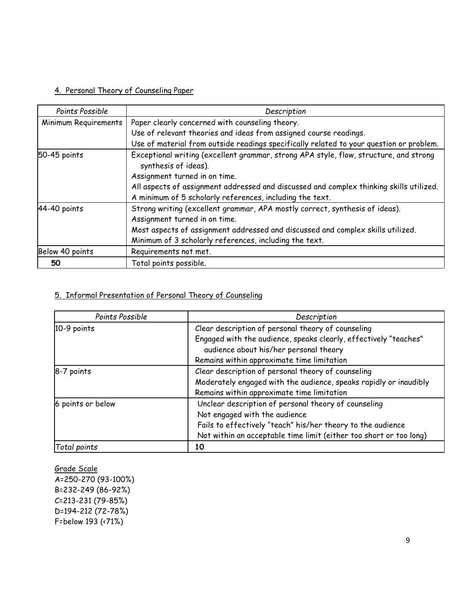# 4. Personal Theory of Counseling Paper

| Points Possible                                                                                       | Description                                                                             |  |
|-------------------------------------------------------------------------------------------------------|-----------------------------------------------------------------------------------------|--|
|                                                                                                       |                                                                                         |  |
| Minimum Requirements                                                                                  | Paper clearly concerned with counseling theory.                                         |  |
|                                                                                                       | Use of relevant theories and ideas from assigned course readings.                       |  |
|                                                                                                       | Use of material from outside readings specifically related to your question or problem. |  |
| Exceptional writing (excellent grammar, strong APA style, flow, structure, and strong<br>50-45 points |                                                                                         |  |
|                                                                                                       | synthesis of ideas).                                                                    |  |
|                                                                                                       | Assignment turned in on time.                                                           |  |
|                                                                                                       | All aspects of assignment addressed and discussed and complex thinking skills utilized. |  |
|                                                                                                       | A minimum of 5 scholarly references, including the text.                                |  |
| 44-40 points                                                                                          | Strong writing (excellent grammar, APA mostly correct, synthesis of ideas).             |  |
|                                                                                                       | Assignment turned in on time.                                                           |  |
|                                                                                                       | Most aspects of assignment addressed and discussed and complex skills utilized.         |  |
|                                                                                                       | Minimum of 3 scholarly references, including the text.                                  |  |
| Below 40 points                                                                                       | Requirements not met.                                                                   |  |
| 50                                                                                                    | Total points possible.                                                                  |  |

# 5. Informal Presentation of Personal Theory of Counseling

| Points Possible   | Description                                                        |
|-------------------|--------------------------------------------------------------------|
| 10-9 points       | Clear description of personal theory of counseling                 |
|                   | Engaged with the audience, speaks clearly, effectively "teaches"   |
|                   | audience about his/her personal theory                             |
|                   | Remains within approximate time limitation                         |
| 8-7 points        | Clear description of personal theory of counseling                 |
|                   | Moderately engaged with the audience, speaks rapidly or inaudibly  |
|                   | Remains within approximate time limitation                         |
| 6 points or below | Unclear description of personal theory of counseling               |
|                   | Not engaged with the audience                                      |
|                   | Fails to effectively "teach" his/her theory to the audience        |
|                   | Not within an acceptable time limit (either too short or too long) |
| Total points      | 10                                                                 |

Grade Scale A=250-270 (93-100%) B=232-249 (86-92%) C=213-231 (79-85%) D=194-212 (72-78%) F=below 193 (<71%)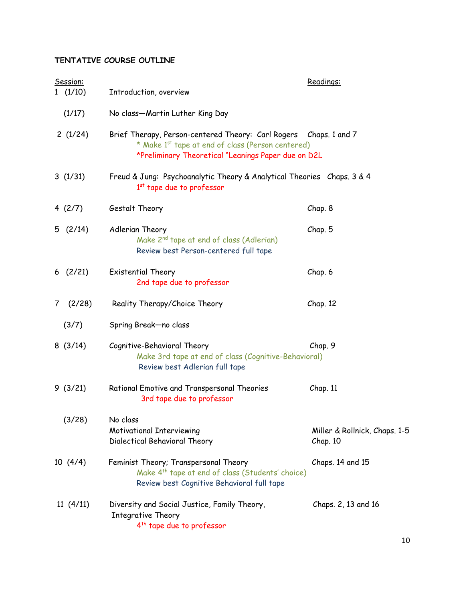# **TENTATIVE COURSE OUTLINE**

|                | Session:  |                                                                                                                                                                               | Readings:                                 |
|----------------|-----------|-------------------------------------------------------------------------------------------------------------------------------------------------------------------------------|-------------------------------------------|
|                | 1(1/10)   | Introduction, overview                                                                                                                                                        |                                           |
|                | (1/17)    | No class-Martin Luther King Day                                                                                                                                               |                                           |
|                | 2(1/24)   | Brief Therapy, Person-centered Theory: Carl Rogers Chaps. 1 and 7<br>* Make 1st tape at end of class (Person centered)<br>*Preliminary Theoretical "Leanings Paper due on D2L |                                           |
|                | 3(1/31)   | Freud & Jung: Psychoanalytic Theory & Analytical Theories Chaps. 3 & 4<br>1 <sup>st</sup> tape due to professor                                                               |                                           |
|                | 4 $(2/7)$ | Gestalt Theory                                                                                                                                                                | Chap. 8                                   |
|                | 5(2/14)   | Adlerian Theory<br>Make 2 <sup>nd</sup> tape at end of class (Adlerian)<br>Review best Person-centered full tape                                                              | Chap. 5                                   |
|                | 6(2/21)   | Existential Theory<br>2nd tape due to professor                                                                                                                               | Chap. 6                                   |
| 7 <sup>7</sup> | (2/28)    | Reality Therapy/Choice Theory                                                                                                                                                 | Chap. 12                                  |
|                | (3/7)     | Spring Break-no class                                                                                                                                                         |                                           |
|                | 8(3/14)   | Cognitive-Behavioral Theory<br>Make 3rd tape at end of class (Cognitive-Behavioral)<br>Review best Adlerian full tape                                                         | Chap. 9                                   |
|                | 9(3/21)   | Rational Emotive and Transpersonal Theories<br>3rd tape due to professor                                                                                                      | Chap. 11                                  |
|                | (3/28)    | No class<br><b>Motivational Interviewing</b><br>Dialectical Behavioral Theory                                                                                                 | Miller & Rollnick, Chaps. 1-5<br>Chap. 10 |
|                | 10(4/4)   | Feminist Theory; Transpersonal Theory<br>Make 4 <sup>th</sup> tape at end of class (Students' choice)<br>Review best Cognitive Behavioral full tape                           | Chaps. 14 and 15                          |
|                | 11(4/11)  | Diversity and Social Justice, Family Theory,<br>Integrative Theory<br>4 <sup>th</sup> tape due to professor                                                                   | Chaps. 2, 13 and 16                       |